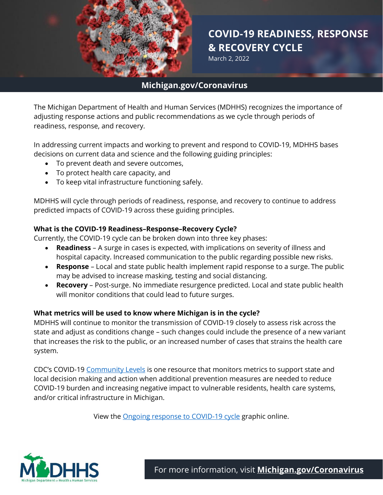

# 1 **COVID-19 READINESS, RESPONSE & RECOVERY CYCLE**

March 2, 2022

# **Michigan.gov/Coronavirus**

The Michigan Department of Health and Human Services (MDHHS) recognizes the importance of adjusting response actions and public recommendations as we cycle through periods of readiness, response, and recovery.

In addressing current impacts and working to prevent and respond to COVID-19, MDHHS bases decisions on current data and science and the following guiding principles:

- To prevent death and severe outcomes,
- To protect health care capacity, and
- To keep vital infrastructure functioning safely.

MDHHS will cycle through periods of readiness, response, and recovery to continue to address predicted impacts of COVID-19 across these guiding principles.

## **What is the COVID-19 Readiness–Response–Recovery Cycle?**

Currently, the COVID-19 cycle can be broken down into three key phases:

- **Readiness** A surge in cases is expected, with implications on severity of illness and hospital capacity. Increased communication to the public regarding possible new risks.
- **Response** Local and state public health implement rapid response to a surge. The public may be advised to increase masking, testing and social distancing.
- **Recovery** Post-surge. No immediate resurgence predicted. Local and state public health will monitor conditions that could lead to future surges.

## **What metrics will be used to know where Michigan is in the cycle?**

MDHHS will continue to monitor the transmission of COVID-19 closely to assess risk across the state and adjust as conditions change – such changes could include the presence of a new variant that increases the risk to the public, or an increased number of cases that strains the health care system.

CDC's COVID-19 [Community Levels](https://www.cdc.gov/coronavirus/2019-ncov/your-health/covid-by-county.html) is one resource that monitors metrics to support state and local decision making and action when additional prevention measures are needed to reduce COVID-19 burden and increasing negative impact to vulnerable residents, health care systems, and/or critical infrastructure in Michigan.

View the [Ongoing response to COVID-19 cycle](https://www.michigan.gov/images/coronavirus/Ongoing_Response_v9_748316_7.png) graphic online.